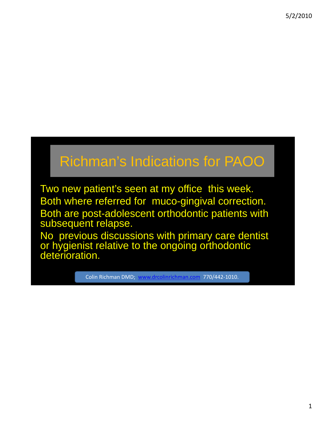## Richman's Indications for PAOO

Two new patient's seen at my office this week. Both where referred for muco-gingival correction. Both are post-adolescent orthodontic patients with subsequent relapse.

No previous discussions with primary care dentist or hygienist relative to the ongoing orthodontic deterioration.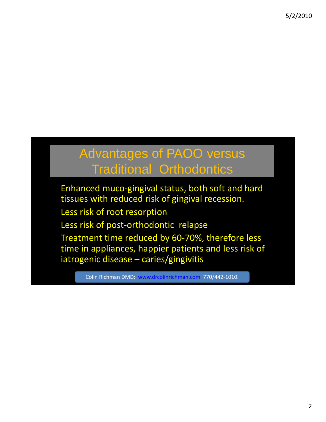#### Advantages of PAOO versus Traditional Orthodontics

Enhanced muco-gingival status, both soft and hard tissues with reduced risk of gingival recession.

Less risk of root resorption

Less risk of post-orthodontic relapse

Treatment time reduced by 60-70%, therefore less time in appliances, happier patients and less risk of iatrogenic disease – caries/gingivitis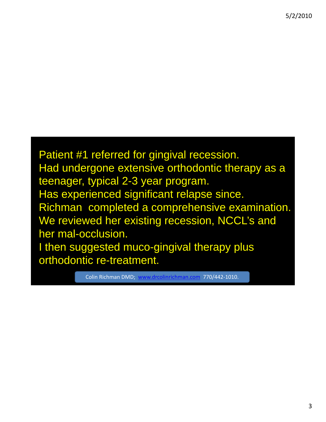Patient #1 referred for gingival recession. Had undergone extensive orthodontic therapy as a teenager, typical 2-3 year program. Has experienced significant relapse since. Richman completed a comprehensive examination. We reviewed her existing recession, NCCL's and her mal-occlusion. I then suggested muco-gingival therapy plus orthodontic re-treatment.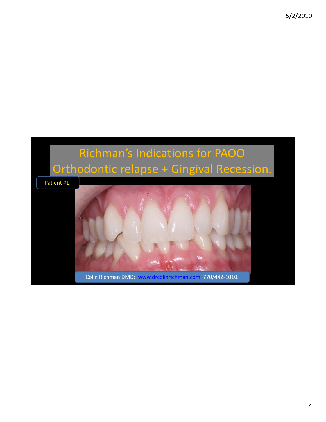# Richman's Indications for PAOO Orthodontic relapse + Gingival Recession. Patient #1. Colin Richman DMD; www.drcolinrichman.com 770/442‐1010.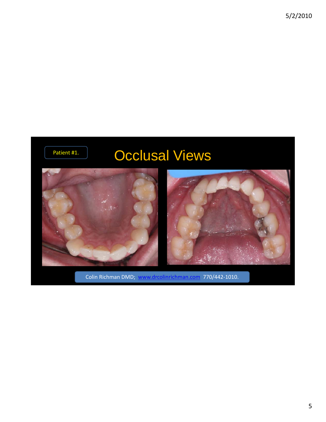## Patient #1. **Occlusal Views**

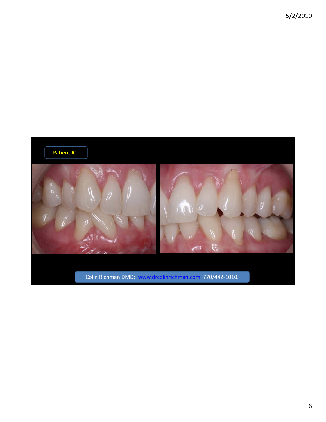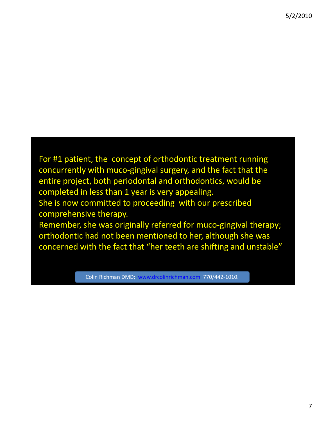For #1 patient, the concept of orthodontic treatment running concurrently with muco‐gingival surgery, and the fact that the entire project, both periodontal and orthodontics, would be completed in less than 1 year is very appealing. She is now committed to proceeding with our prescribed comprehensive therapy.

Remember, she was originally referred for muco-gingival therapy; orthodontic had not been mentioned to her, although she was concerned with the fact that "her teeth are shifting and unstable"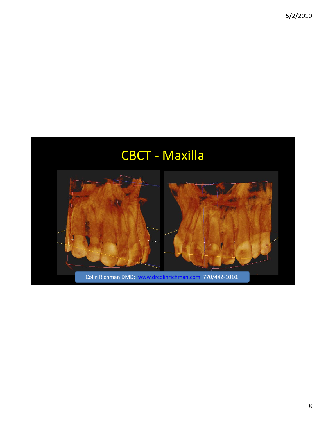![](_page_7_Picture_1.jpeg)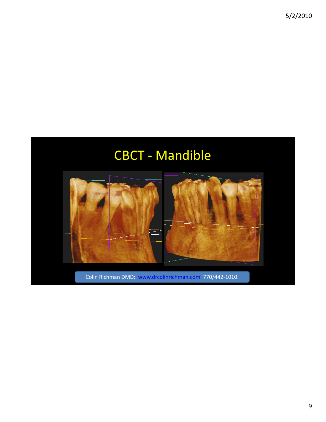## CBCT ‐ Mandible

![](_page_8_Picture_2.jpeg)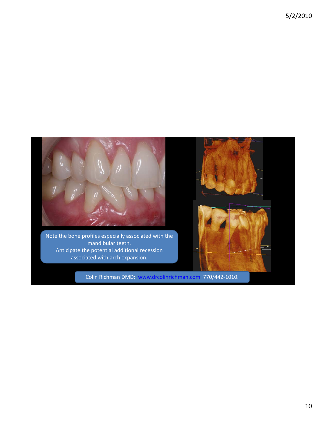![](_page_9_Picture_1.jpeg)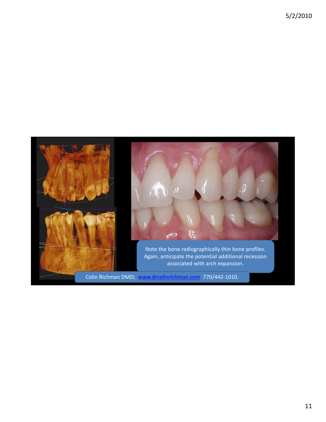![](_page_10_Picture_1.jpeg)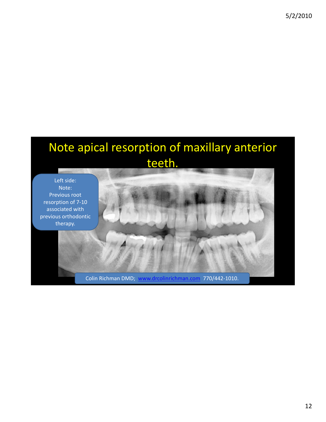## Note apical resorption of maxillary anterior teeth.

Left side: Note: Previous root resorption of 7‐10 associated with previous orthodontic therapy.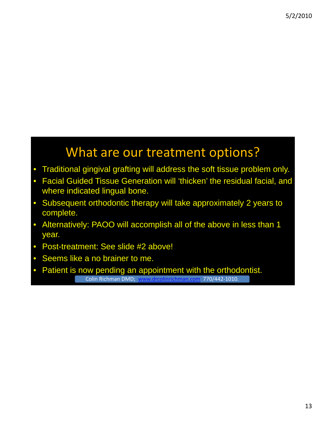#### What are our treatment options?

- Traditional gingival grafting will address the soft tissue problem only.
- Facial Guided Tissue Generation will 'thicken' the residual facial, and where indicated lingual bone.
- Subsequent orthodontic therapy will take approximately 2 years to complete.
- Alternatively: PAOO will accomplish all of the above in less than 1 year.
- Post-treatment: See slide #2 above!
- Seems like a no brainer to me.
- Patient is now pending an appointment with the orthodontist. Colin Richman DMD; www.drcolinrichman.com 770/442‐1010.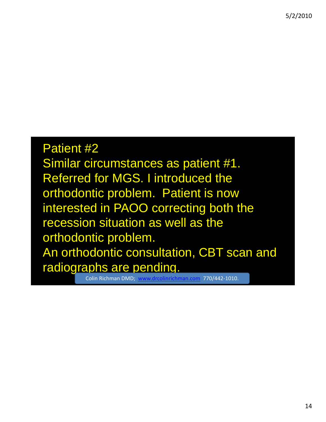## Patient #2 Similar circumstances as patient #1. Referred for MGS. I introduced the orthodontic problem. Patient is now interested in PAOO correcting both the recession situation as well as the orthodontic problem. An orthodontic consultation, CBT scan and radiographs are pending.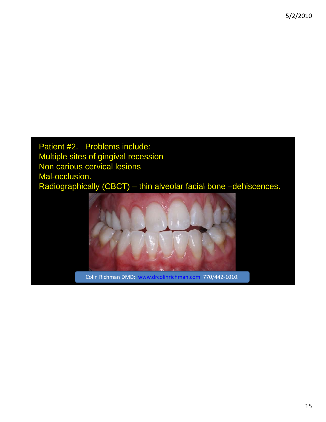Patient #2. Problems include: Multiple sites of gingival recession Non carious cervical lesions Mal-occlusion. Radiographically (CBCT) – thin alveolar facial bone -dehiscences.

![](_page_14_Picture_2.jpeg)